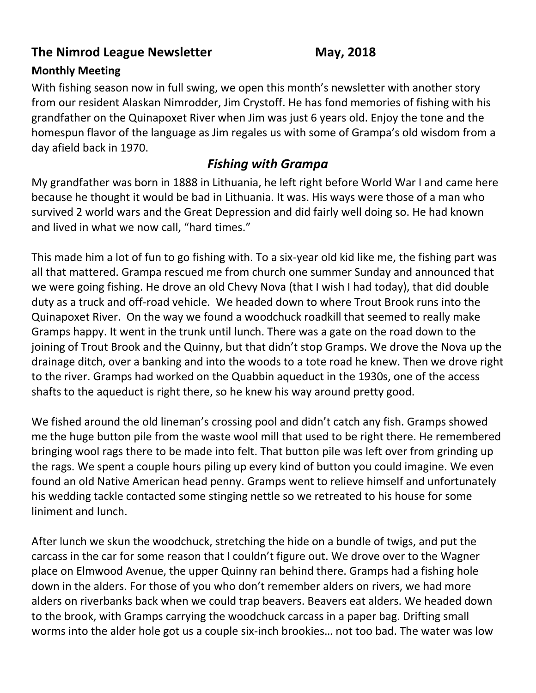## **The Nimrod League Newsletter May, 2018**

## **Monthly Meeting**

With fishing season now in full swing, we open this month's newsletter with another story from our resident Alaskan Nimrodder, Jim Crystoff. He has fond memories of fishing with his grandfather on the Quinapoxet River when Jim was just 6 years old. Enjoy the tone and the homespun flavor of the language as Jim regales us with some of Grampa's old wisdom from a day afield back in 1970.

## *Fishing with Grampa*

My grandfather was born in 1888 in Lithuania, he left right before World War I and came here because he thought it would be bad in Lithuania. It was. His ways were those of a man who survived 2 world wars and the Great Depression and did fairly well doing so. He had known and lived in what we now call, "hard times."

This made him a lot of fun to go fishing with. To a six-year old kid like me, the fishing part was all that mattered. Grampa rescued me from church one summer Sunday and announced that we were going fishing. He drove an old Chevy Nova (that I wish I had today), that did double duty as a truck and off-road vehicle. We headed down to where Trout Brook runs into the Quinapoxet River. On the way we found a woodchuck roadkill that seemed to really make Gramps happy. It went in the trunk until lunch. There was a gate on the road down to the joining of Trout Brook and the Quinny, but that didn't stop Gramps. We drove the Nova up the drainage ditch, over a banking and into the woods to a tote road he knew. Then we drove right to the river. Gramps had worked on the Quabbin aqueduct in the 1930s, one of the access shafts to the aqueduct is right there, so he knew his way around pretty good.

We fished around the old lineman's crossing pool and didn't catch any fish. Gramps showed me the huge button pile from the waste wool mill that used to be right there. He remembered bringing wool rags there to be made into felt. That button pile was left over from grinding up the rags. We spent a couple hours piling up every kind of button you could imagine. We even found an old Native American head penny. Gramps went to relieve himself and unfortunately his wedding tackle contacted some stinging nettle so we retreated to his house for some liniment and lunch.

After lunch we skun the woodchuck, stretching the hide on a bundle of twigs, and put the carcass in the car for some reason that I couldn't figure out. We drove over to the Wagner place on Elmwood Avenue, the upper Quinny ran behind there. Gramps had a fishing hole down in the alders. For those of you who don't remember alders on rivers, we had more alders on riverbanks back when we could trap beavers. Beavers eat alders. We headed down to the brook, with Gramps carrying the woodchuck carcass in a paper bag. Drifting small worms into the alder hole got us a couple six-inch brookies… not too bad. The water was low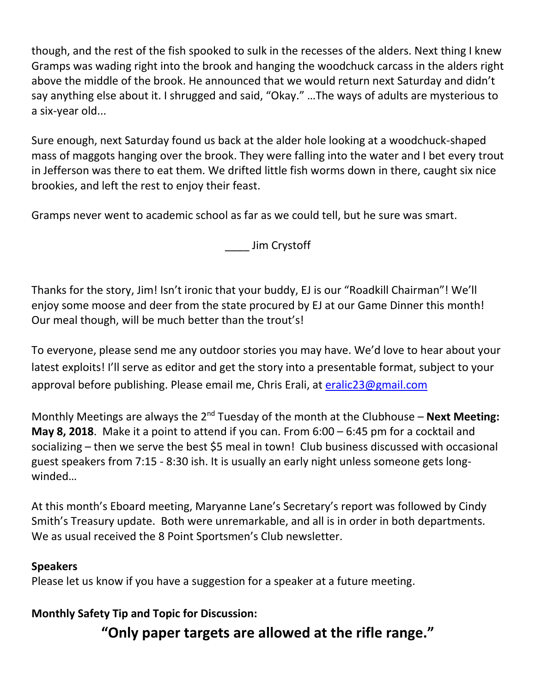though, and the rest of the fish spooked to sulk in the recesses of the alders. Next thing I knew Gramps was wading right into the brook and hanging the woodchuck carcass in the alders right above the middle of the brook. He announced that we would return next Saturday and didn't say anything else about it. I shrugged and said, "Okay." …The ways of adults are mysterious to a six-year old...

Sure enough, next Saturday found us back at the alder hole looking at a woodchuck-shaped mass of maggots hanging over the brook. They were falling into the water and I bet every trout in Jefferson was there to eat them. We drifted little fish worms down in there, caught six nice brookies, and left the rest to enjoy their feast.

Gramps never went to academic school as far as we could tell, but he sure was smart.

\_\_\_\_ Jim Crystoff

Thanks for the story, Jim! Isn't ironic that your buddy, EJ is our "Roadkill Chairman"! We'll enjoy some moose and deer from the state procured by EJ at our Game Dinner this month! Our meal though, will be much better than the trout's!

To everyone, please send me any outdoor stories you may have. We'd love to hear about your latest exploits! I'll serve as editor and get the story into a presentable format, subject to your approval before publishing. Please email me, Chris Erali, at [eralic23@gmail.com](mailto:eralic23@gmail.com)

Monthly Meetings are always the 2<sup>nd</sup> Tuesday of the month at the Clubhouse – **Next Meeting: May 8, 2018**. Make it a point to attend if you can. From 6:00 – 6:45 pm for a cocktail and socializing – then we serve the best \$5 meal in town! Club business discussed with occasional guest speakers from 7:15 - 8:30 ish. It is usually an early night unless someone gets longwinded…

At this month's Eboard meeting, Maryanne Lane's Secretary's report was followed by Cindy Smith's Treasury update. Both were unremarkable, and all is in order in both departments. We as usual received the 8 Point Sportsmen's Club newsletter.

### **Speakers**

Please let us know if you have a suggestion for a speaker at a future meeting.

## **Monthly Safety Tip and Topic for Discussion:**

**"Only paper targets are allowed at the rifle range."**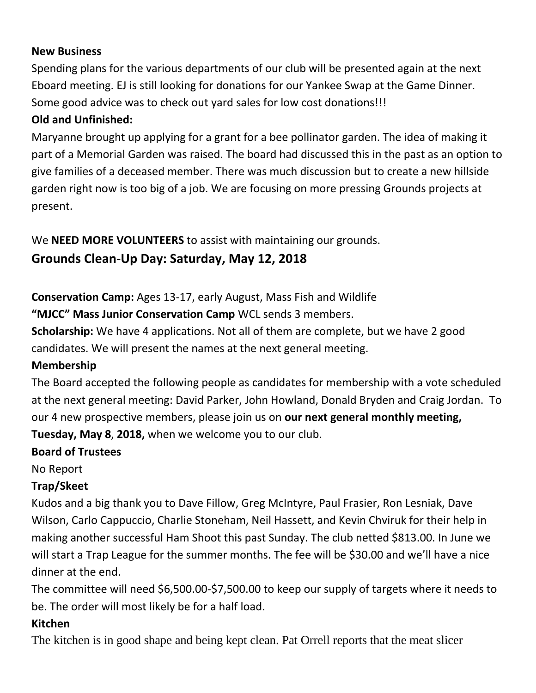#### **New Business**

Spending plans for the various departments of our club will be presented again at the next Eboard meeting. EJ is still looking for donations for our Yankee Swap at the Game Dinner. Some good advice was to check out yard sales for low cost donations!!!

## **Old and Unfinished:**

Maryanne brought up applying for a grant for a bee pollinator garden. The idea of making it part of a Memorial Garden was raised. The board had discussed this in the past as an option to give families of a deceased member. There was much discussion but to create a new hillside garden right now is too big of a job. We are focusing on more pressing Grounds projects at present.

We **NEED MORE VOLUNTEERS** to assist with maintaining our grounds.

# **Grounds Clean-Up Day: Saturday, May 12, 2018**

**Conservation Camp:** Ages 13-17, early August, Mass Fish and Wildlife

**"MJCC" Mass Junior Conservation Camp** WCL sends 3 members.

**Scholarship:** We have 4 applications. Not all of them are complete, but we have 2 good candidates. We will present the names at the next general meeting.

## **Membership**

The Board accepted the following people as candidates for membership with a vote scheduled at the next general meeting: David Parker, John Howland, Donald Bryden and Craig Jordan. To our 4 new prospective members, please join us on **our next general monthly meeting,** 

**Tuesday, May 8**, **2018,** when we welcome you to our club.

## **Board of Trustees**

No Report

# **Trap/Skeet**

Kudos and a big thank you to Dave Fillow, Greg McIntyre, Paul Frasier, Ron Lesniak, Dave Wilson, Carlo Cappuccio, Charlie Stoneham, Neil Hassett, and Kevin Chviruk for their help in making another successful Ham Shoot this past Sunday. The club netted \$813.00. In June we will start a Trap League for the summer months. The fee will be \$30.00 and we'll have a nice dinner at the end.

The committee will need \$6,500.00-\$7,500.00 to keep our supply of targets where it needs to be. The order will most likely be for a half load.

### **Kitchen**

The kitchen is in good shape and being kept clean. Pat Orrell reports that the meat slicer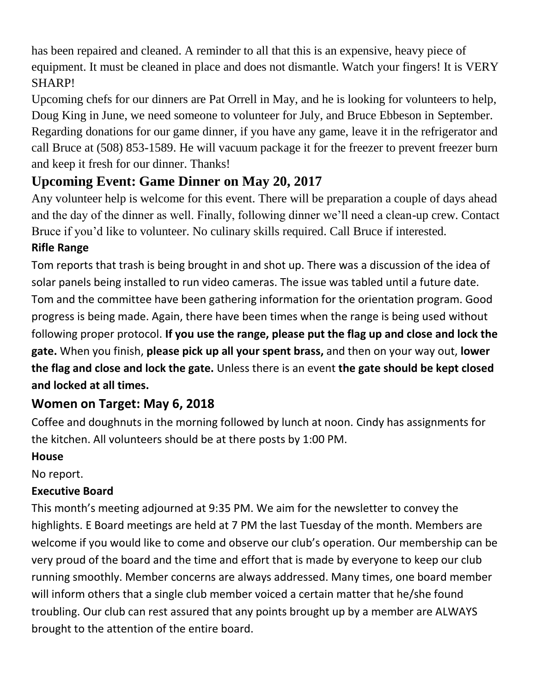has been repaired and cleaned. A reminder to all that this is an expensive, heavy piece of equipment. It must be cleaned in place and does not dismantle. Watch your fingers! It is VERY SHARP!

Upcoming chefs for our dinners are Pat Orrell in May, and he is looking for volunteers to help, Doug King in June, we need someone to volunteer for July, and Bruce Ebbeson in September. Regarding donations for our game dinner, if you have any game, leave it in the refrigerator and call Bruce at (508) 853-1589. He will vacuum package it for the freezer to prevent freezer burn and keep it fresh for our dinner. Thanks!

# **Upcoming Event: Game Dinner on May 20, 2017**

Any volunteer help is welcome for this event. There will be preparation a couple of days ahead and the day of the dinner as well. Finally, following dinner we'll need a clean-up crew. Contact Bruce if you'd like to volunteer. No culinary skills required. Call Bruce if interested.

## **Rifle Range**

Tom reports that trash is being brought in and shot up. There was a discussion of the idea of solar panels being installed to run video cameras. The issue was tabled until a future date. Tom and the committee have been gathering information for the orientation program. Good progress is being made. Again, there have been times when the range is being used without following proper protocol. **If you use the range, please put the flag up and close and lock the gate.** When you finish, **please pick up all your spent brass,** and then on your way out, **lower the flag and close and lock the gate.** Unless there is an event **the gate should be kept closed and locked at all times.**

# **Women on Target: May 6, 2018**

Coffee and doughnuts in the morning followed by lunch at noon. Cindy has assignments for the kitchen. All volunteers should be at there posts by 1:00 PM.

# **House**

No report.

# **Executive Board**

This month's meeting adjourned at 9:35 PM. We aim for the newsletter to convey the highlights. E Board meetings are held at 7 PM the last Tuesday of the month. Members are welcome if you would like to come and observe our club's operation. Our membership can be very proud of the board and the time and effort that is made by everyone to keep our club running smoothly. Member concerns are always addressed. Many times, one board member will inform others that a single club member voiced a certain matter that he/she found troubling. Our club can rest assured that any points brought up by a member are ALWAYS brought to the attention of the entire board.